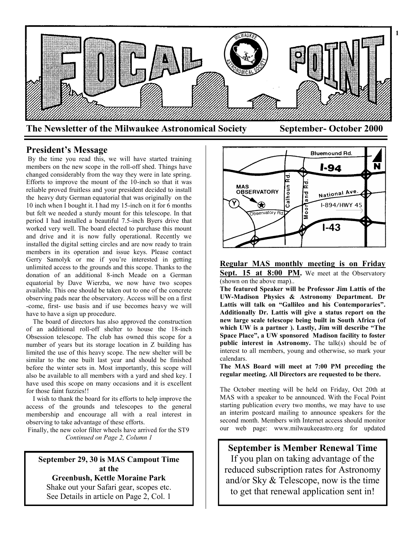

## **President's Message**

By the time you read this, we will have started training members on the new scope in the roll-off shed. Things have changed considerably from the way they were in late spring. Efforts to improve the mount of the 10-inch so that it was reliable proved fruitless and your president decided to install the heavy duty German equatorial that was originally on the 10 inch when I bought it. I had my 15-inch on it for 6 months but felt we needed a sturdy mount for this telescope. In that period I had installed a beautiful 7.5-inch Byers drive that worked very well. The board elected to purchase this mount and drive and it is now fully operational. Recently we installed the digital setting circles and are now ready to train members in its operation and issue keys. Please contact Gerry Samolyk or me if you're interested in getting unlimited access to the grounds and this scope. Thanks to the donation of an additional 8-inch Meade on a German equatorial by Dave Wierzba, we now have two scopes available. This one should be taken out to one of the concrete observing pads near the observatory. Access will be on a first -come, first- use basis and if use becomes heavy we will have to have a sign up procedure.

 The board of directors has also approved the construction of an additional roll-off shelter to house the 18-inch Obsession telescope. The club has owned this scope for a number of years but its storage location in Z building has limited the use of this heavy scope. The new shelter will be similar to the one built last year and should be finished before the winter sets in. Most importantly, this scope will also be available to all members with a yard and shed key. I have used this scope on many occasions and it is excellent for those faint fuzzies!!

 I wish to thank the board for its efforts to help improve the access of the grounds and telescopes to the general membership and encourage all with a real interest in observing to take advantage of these efforts.

Finally, the new color filter wheels have arrived for the ST9 *Continued on Page 2, Column 1*

**September 29, 30 is MAS Campout Time at the**

**Greenbush, Kettle Moraine Park** Shake out your Safari gear, scopes etc. See Details in article on Page 2, Col. 1



**Regular MAS monthly meeting is on Friday Sept. 15 at 8:00 PM.** We meet at the Observatory (shown on the above map)..

**The featured Speaker will be Professor Jim Lattis of the UW-Madison Physics & Astronomy Department. Dr Lattis will talk on "Gallileo and his Contemporaries". Additionally Dr. Lattis will give a status report on the new large scale telescope being built in South Africa (of which UW is a partner ). Lastly, Jim will describe "The Space Place", a UW sponsored Madison facility to foster public interest in Astronomy.** The talk(s) should be of interest to all members, young and otherwise, so mark your calendars.

**The MAS Board will meet at 7:00 PM preceding the regular meeting. All Directors are requested to be there.**

The October meeting will be held on Friday, Oct 20th at MAS with a speaker to be announced. With the Focal Point starting publication every two months, we may have to use an interim postcard mailing to announce speakers for the second month. Members with Internet access should monitor our web page: www.milwaukeeastro.org for updated

**September is Member Renewal Time** If you plan on taking advantage of the reduced subscription rates for Astronomy and/or Sky & Telescope, now is the time to get that renewal application sent in!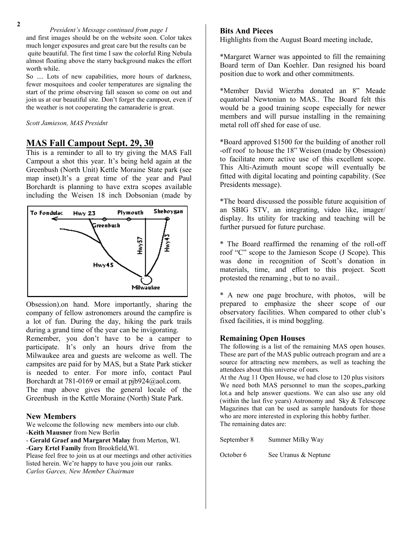*President's Message continued from page 1* and first images should be on the website soon. Color takes much longer exposures and great care but the results can be quite beautiful. The first time I saw the colorful Ring Nebula almost floating above the starry background makes the effort worth while.

So .... Lots of new capabilities, more hours of darkness, fewer mosquitoes and cooler temperatures are signaling the start of the prime observing fall season so come on out and join us at our beautiful site. Don't forget the campout, even if the weather is not cooperating the camaraderie is great.

*Scott Jamieson, MAS Presidnt*

## **MAS Fall Campout Sept. 29, 30**

This is a reminder to all to try giving the MAS Fall Campout a shot this year. It's being held again at the Greenbush (North Unit) Kettle Moraine State park (see map inset).It's a great time of the year and Paul Borchardt is planning to have extra scopes available including the Weisen 18 inch Dobsonian (made by



Obsession).on hand. More importantly, sharing the company of fellow astronomers around the campfire is a lot of fun. During the day, hiking the park trails during a grand time of the year can be invigorating. Remember, you don't have to be a camper to

participate. It's only an hours drive from the Milwaukee area and guests are welcome as well. The campsites are paid for by MAS, but a State Park sticker is needed to enter. For more info, contact Paul Borchardt at 781-0169 or email at pjb924@aol.com. The map above gives the general locale of the Greenbush in the Kettle Moraine (North) State Park.

### **New Members**

We welcome the following new members into our club. -**Keith Mausner** from New Berlin

- **Gerald Graef and Margaret Malay** from Merton, WI. -**Gary Ertel Family** from Brookfield,WI.

Please feel free to join us at our meetings and other activities listed herein. We're happy to have you join our ranks. *Carlos Garces, New Member Chairman*

#### **Bits And Pieces**

**3** Highlights from the August Board meeting include,

\*Margaret Warner was appointed to fill the remaining Board term of Dan Koehler. Dan resigned his board position due to work and other commitments.

\*Member David Wierzba donated an 8" Meade equatorial Newtonian to MAS.. The Board felt this would be a good training scope especially for newer members and will pursue installing in the remaining metal roll off shed for ease of use.

\*Board approved \$1500 for the building of another roll -off roof to house the 18" Weisen (made by Obsession) to facilitate more active use of this excellent scope. This Alti-Azimuth mount scope will eventually be fitted with digital locating and pointing capability. (See Presidents message).

\*The board discussed the possible future acquisition of an SBIG STV, an integrating, video like, imager/ display. Its utility for tracking and teaching will be further pursued for future purchase.

\* The Board reaffirmed the renaming of the roll-off roof "C" scope to the Jamieson Scope (J Scope). This was done in recognition of Scott's donation in materials, time, and effort to this project. Scott protested the renaming , but to no avail..

\* A new one page brochure, with photos, will be prepared to emphasize the sheer scope of our observatory facilities. When compared to other club's fixed facilities, it is mind boggling.

#### **Remaining Open Houses**

The following is a list of the remaining MAS open houses. These are part of the MAS public outreach program and are a source for attracting new members, as well as teaching the attendees about this universe of ours.

At the Aug 11 Open House, we had close to 120 plus visitors We need both MAS personnel to man the scopes,,parking lot.a and help answer questions. We can also use any old (within the last five years) Astronomy and Sky & Telescope Magazines that can be used as sample handouts for those who are more interested in exploring this hobby further. The remaining dates are:

September 8 Summer Milky Way

October 6 See Uranus & Neptune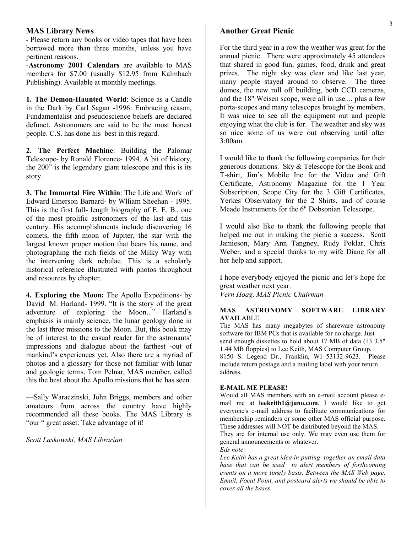#### **MAS Library News**

- Please return any books or video tapes that have been borrowed more than three months, unless you have pertinent reasons.

-**Astronomy 2001 Calendars** are available to MAS members for \$7.00 (usually \$12.95 from Kalmbach Publishing). Available at monthly meetings.

**1. The Demon-Haunted World**: Science as a Candle in the Dark by Carl Sagan -1996. Embracing reason, Fundamentalist and pseudoscience beliefs are declared defunct. Astronomers are said to be the most honest people. C.S. has done his best in this regard.

**2. The Perfect Machine**: Building the Palomar Telescope- by Ronald Florence- 1994. A bit of history, the 200" is the legendary giant telescope and this is its story.

**3. The Immortal Fire Within**: The Life and Work of Edward Emerson Barnard- by Wlliam Sheehan - 1995. This is the first full- length biography of E. E. B., one of the most prolific astronomers of the last and this century. His accomplishments include discovering 16 comets, the fifth moon of Jupiter, the star with the largest known proper motion that bears his name, and photographing the rich fields of the Milky Way with the intervening dark nebulae. This is a scholarly historical reference illustrated with photos throughout and resources by chapter.

**4. Exploring the Moon:** The Apollo Expeditions- by David M. Harland- 1999. "It is the story of the great adventure of exploring the Moon..." Harland's emphasis is mainly science, the lunar geology done in the last three missions to the Moon. But, this book may be of interest to the casual reader for the astronauts' impressions and dialogue about the farthest -out of mankind's experiences yet. Also there are a myriad of photos and a glossary for those not familiar with lunar and geologic terms. Tom Pelnar, MAS member, called this the best about the Apollo missions that he has seen.

—Sally Waraczinski, John Briggs, members and other amateurs from across the country have highly recommended all these books. The MAS Library is "our " great asset. Take advantage of it!

*Scott Laskowski, MAS Librarian*

#### **Another Great Picnic**

For the third year in a row the weather was great for the annual picnic. There were approximately 45 attendees that shared in good fun, games, food, drink and great prizes. The night sky was clear and like last year, many people stayed around to observe. The three domes, the new roll off building, both CCD cameras, and the 18" Weisen scope, were all in use.... plus a few porta-scopes and many telescopes brought by members. It was nice to see all the equipment out and people enjoying what the club is for. The weather and sky was so nice some of us were out observing until after 3:00am.

I would like to thank the following companies for their generous donations. Sky & Telescope for the Book and T-shirt, Jim's Mobile Inc for the Video and Gift Certificate, Astronomy Magazine for the 1 Year Subscription, Scope City for the 3 Gift Certificates, Yerkes Observatory for the 2 Shirts, and of course Meade Instruments for the 6" Dobsonian Telescope.

I would also like to thank the following people that helped me out in making the picnic a success. Scott Jamieson, Mary Ann Tangney, Rudy Poklar, Chris Weber, and a special thanks to my wife Diane for all her help and support.

I hope everybody enjoyed the picnic and let's hope for great weather next year. *Vern Hoag, MAS Picnic Chairman*

#### **MAS ASTRONOMY SOFTWARE LIBRARY AVAIL**ABLE

The MAS has many megabytes of shareware astronomy software for IBM PCs that is available for no charge. Just send enough diskettes to hold about 17 MB of data (13 3.5" 1.44 MB floppies) to Lee Keith, MAS Computer Group, 8150 S. Legend Dr., Franklin, WI 53132-9623. Please include return postage and a mailing label with your return address.

#### **E-MAIL ME PLEASE!**

Would all MAS members with an e-mail account please email me at **leekeith1@juno.com**. I would like to get everyone's e-mail address to facilitate communications for membership reminders or some other MAS official purpose. These addresses will NOT be distributed beyond the MAS.

They are for internal use only. We may even use them for general announcements or whatever.

*Eds note:*

*Lee Keith has a great idea in putting together an email data base that can be used to alert members of forthcoming events on a more timely basis. Between the MAS Web page, Email, Focal Point, and postcard alerts we should be able to cover all the bases.*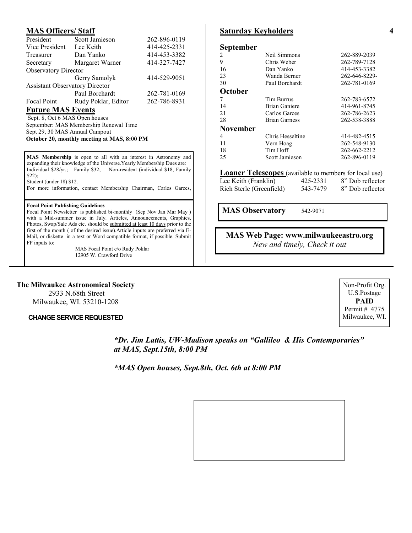#### **MAS Officers/ Staff**

| President                             | Scott Jamieson      | 262-896-0119 |  |  |
|---------------------------------------|---------------------|--------------|--|--|
| Vice President                        | Lee Keith           | 414-425-2331 |  |  |
| Treasurer                             | Dan Yanko           | 414-453-3382 |  |  |
| Secretary                             | Margaret Warner     | 414-327-7427 |  |  |
| <b>Observatory Director</b>           |                     |              |  |  |
|                                       | Gerry Samolyk       | 414-529-9051 |  |  |
| <b>Assistant Observatory Director</b> |                     |              |  |  |
|                                       | Paul Borchardt      | 262-781-0169 |  |  |
| Focal Point                           | Rudy Poklar, Editor | 262-786-8931 |  |  |
| <b>Future MAS Events</b>              |                     |              |  |  |
| Sept. 8, Oct 6 MAS Open houses        |                     |              |  |  |
|                                       |                     |              |  |  |

September: MAS Membership Renewal Time Sept 29, 30 MAS Annual Campout **October 20, monthly meeting at MAS, 8:00 PM**

**MAS Membership** is open to all with an interest in Astronomy and expanding their knowledge of the Universe.Yearly Membership Dues are: Individual \$28/yr.; Family \$32; Non-resident (individual \$18, Family \$22); Student (under 18) \$12.

**F**or more information, contact Membership Chairman, Carlos Garces,

#### **Focal Point Publishing Guidelines**

Focal Point Newsletter is published bi-monthly (Sep Nov Jan Mar May ) with a Mid-summer issue in July. Articles, Announcements, Graphics, Photos, Swap/Sale Ads etc. should be submitted at least 10 days prior to the first of the month ( of the desired issue).Article inputs are preferred via E-Mail, or diskette in a text or Word compatible format, if possible. Submit FP inputs to:

> MAS Focal Point c/o Rudy Poklar 12905 W. Crawford Drive

# **Saturday Keyholders**

| <b>September</b>     |                      |          |                                                               |
|----------------------|----------------------|----------|---------------------------------------------------------------|
| 2                    | Neil Simmons         |          | 262-889-2039                                                  |
| 9                    | Chris Weber          |          | 262-789-7128                                                  |
| 16                   | Dan Yanko            |          | 414-453-3382                                                  |
| 23                   | Wanda Berner         |          | 262-646-8229-                                                 |
| 30                   | Paul Borchardt       |          | 262-781-0169                                                  |
| October              |                      |          |                                                               |
| 7                    | Tim Burrus           |          | 262-783-6572                                                  |
| 14                   | <b>Brian Ganiere</b> |          | 414-961-8745                                                  |
| 21                   | Carlos Garces        |          | 262-786-2623                                                  |
| 28                   | <b>Brian Garness</b> |          | 262-538-3888                                                  |
| <b>November</b>      |                      |          |                                                               |
| 4                    | Chris Hesseltine     |          | 414-482-4515                                                  |
| 11                   | Vern Hoag            |          | 262-548-9130                                                  |
| 18                   | Tim Hoff             |          | 262-662-2212                                                  |
| 25                   | Scott Jamieson       |          | 262-896-0119                                                  |
|                      |                      |          | <b>Loaner Telescopes</b> (available to members for local use) |
| Lee Keith (Franklin) |                      | 425-2331 | 8" Dob reflector                                              |

**MAS Observatory** 542-9071

## **MAS Web Page: www.milwaukeeastro.org** *New and timely, Check it out*

Rich Sterle (Greenfield) 543-7479 8" Dob reflector

#### **The Milwaukee Astronomical Society**

2933 N.68th Street Milwaukee, WI. 53210-1208

#### **CHANGE SERVICE REQUESTED** Milwaukee, WI.

*\*Dr. Jim Lattis, UW-Madison speaks on "Gallileo & His Contemporaries" at MAS, Sept.15th, 8:00 PM*

*\*MAS Open houses, Sept.8th, Oct. 6th at 8:00 PM*



Non-Profit Org. U.S.Postage **PAID** Permit # 4775